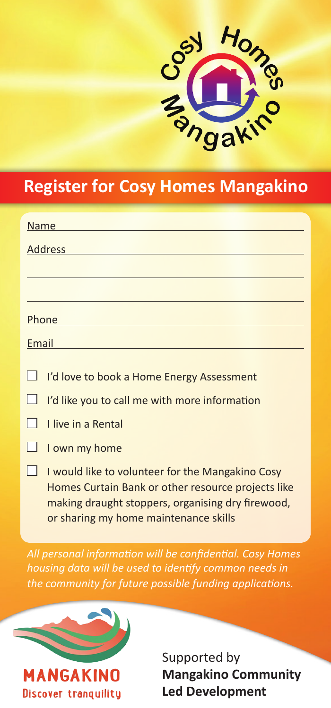

## **Register for Cosy Homes Mangakino**

| <b>Name</b>    |                                                                                                                                                                                                      |
|----------------|------------------------------------------------------------------------------------------------------------------------------------------------------------------------------------------------------|
| <b>Address</b> |                                                                                                                                                                                                      |
|                |                                                                                                                                                                                                      |
|                |                                                                                                                                                                                                      |
| Phone          |                                                                                                                                                                                                      |
| Email          |                                                                                                                                                                                                      |
|                |                                                                                                                                                                                                      |
|                | I'd love to book a Home Energy Assessment                                                                                                                                                            |
|                | I'd like you to call me with more information                                                                                                                                                        |
|                | Llive in a Rental                                                                                                                                                                                    |
|                | I own my home                                                                                                                                                                                        |
|                | I would like to volunteer for the Mangakino Cosy<br>Homes Curtain Bank or other resource projects like<br>making draught stoppers, organising dry firewood,<br>or sharing my home maintenance skills |

*All personal information will be confidential. Cosy Homes housing data will be used to identify common needs in the community for future possible funding applications.* 



Supported by **Mangakino Community Led Development**